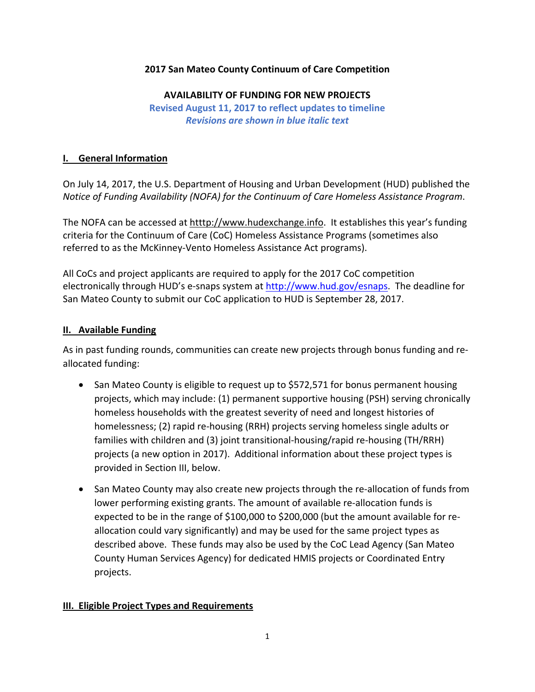## **2017 San Mateo County Continuum of Care Competition**

#### **AVAILABILITY OF FUNDING FOR NEW PROJECTS**

**Revised August 11, 2017 to reflect updates to timeline** *Revisions are shown in blue italic text*

## **I. General Information**

On July 14, 2017, the U.S. Department of Housing and Urban Development (HUD) published the *Notice of Funding Availability (NOFA) for the Continuum of Care Homeless Assistance Program*.

The NOFA can be accessed at htttp://www.hudexchange.info. It establishes this year's funding criteria for the Continuum of Care (CoC) Homeless Assistance Programs (sometimes also referred to as the McKinney‐Vento Homeless Assistance Act programs).

All CoCs and project applicants are required to apply for the 2017 CoC competition electronically through HUD's e-snaps system at http://www.hud.gov/esnaps. The deadline for San Mateo County to submit our CoC application to HUD is September 28, 2017.

## **II. Available Funding**

As in past funding rounds, communities can create new projects through bonus funding and re‐ allocated funding:

- San Mateo County is eligible to request up to \$572,571 for bonus permanent housing projects, which may include: (1) permanent supportive housing (PSH) serving chronically homeless households with the greatest severity of need and longest histories of homelessness; (2) rapid re‐housing (RRH) projects serving homeless single adults or families with children and (3) joint transitional‐housing/rapid re‐housing (TH/RRH) projects (a new option in 2017). Additional information about these project types is provided in Section III, below.
- San Mateo County may also create new projects through the re-allocation of funds from lower performing existing grants. The amount of available re-allocation funds is expected to be in the range of \$100,000 to \$200,000 (but the amount available for re‐ allocation could vary significantly) and may be used for the same project types as described above. These funds may also be used by the CoC Lead Agency (San Mateo County Human Services Agency) for dedicated HMIS projects or Coordinated Entry projects.

# **III. Eligible Project Types and Requirements**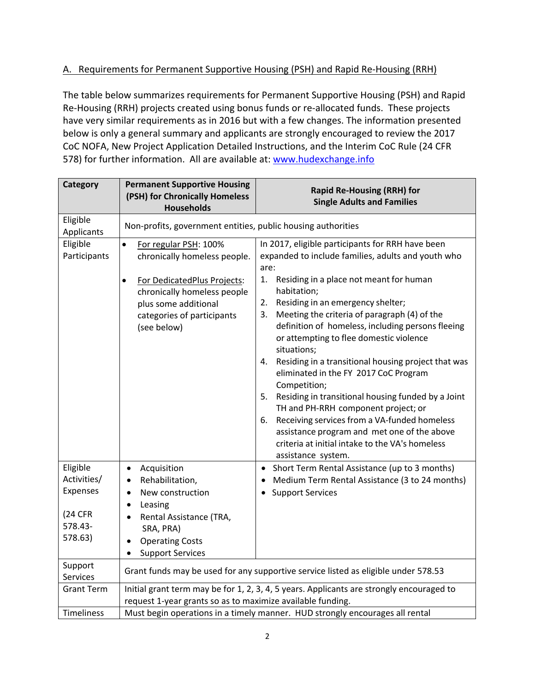# A. Requirements for Permanent Supportive Housing (PSH) and Rapid Re‐Housing (RRH)

The table below summarizes requirements for Permanent Supportive Housing (PSH) and Rapid Re-Housing (RRH) projects created using bonus funds or re-allocated funds. These projects have very similar requirements as in 2016 but with a few changes. The information presented below is only a general summary and applicants are strongly encouraged to review the 2017 CoC NOFA, New Project Application Detailed Instructions, and the Interim CoC Rule (24 CFR 578) for further information. All are available at: www.hudexchange.info

| Category                                                             | <b>Permanent Supportive Housing</b><br>(PSH) for Chronically Homeless<br><b>Households</b>                                                                                                                         | <b>Rapid Re-Housing (RRH) for</b><br><b>Single Adults and Families</b>                                                                                                                                                                                                                                                                                                                                                                                                                                                                                                                                                                                                                                                                                                                                |
|----------------------------------------------------------------------|--------------------------------------------------------------------------------------------------------------------------------------------------------------------------------------------------------------------|-------------------------------------------------------------------------------------------------------------------------------------------------------------------------------------------------------------------------------------------------------------------------------------------------------------------------------------------------------------------------------------------------------------------------------------------------------------------------------------------------------------------------------------------------------------------------------------------------------------------------------------------------------------------------------------------------------------------------------------------------------------------------------------------------------|
| Eligible<br>Applicants                                               | Non-profits, government entities, public housing authorities                                                                                                                                                       |                                                                                                                                                                                                                                                                                                                                                                                                                                                                                                                                                                                                                                                                                                                                                                                                       |
| Eligible<br>Participants                                             | For regular PSH: 100%<br>$\bullet$<br>chronically homeless people.<br>For DedicatedPlus Projects:<br>$\bullet$<br>chronically homeless people<br>plus some additional<br>categories of participants<br>(see below) | In 2017, eligible participants for RRH have been<br>expanded to include families, adults and youth who<br>are:<br>1.<br>Residing in a place not meant for human<br>habitation;<br>Residing in an emergency shelter;<br>2.<br>Meeting the criteria of paragraph (4) of the<br>3.<br>definition of homeless, including persons fleeing<br>or attempting to flee domestic violence<br>situations;<br>Residing in a transitional housing project that was<br>4.<br>eliminated in the FY 2017 CoC Program<br>Competition;<br>Residing in transitional housing funded by a Joint<br>5.<br>TH and PH-RRH component project; or<br>Receiving services from a VA-funded homeless<br>6.<br>assistance program and met one of the above<br>criteria at initial intake to the VA's homeless<br>assistance system. |
| Eligible<br>Activities/<br>Expenses<br>(24 CFR<br>578.43-<br>578.63) | Acquisition<br>$\bullet$<br>Rehabilitation,<br>$\bullet$<br>New construction<br>$\bullet$<br>Leasing<br>$\bullet$<br>Rental Assistance (TRA,<br>$\bullet$<br>SRA, PRA)<br><b>Operating Costs</b><br>$\bullet$      | Short Term Rental Assistance (up to 3 months)<br>$\bullet$<br>Medium Term Rental Assistance (3 to 24 months)<br><b>Support Services</b>                                                                                                                                                                                                                                                                                                                                                                                                                                                                                                                                                                                                                                                               |
| Support                                                              | <b>Support Services</b><br>$\bullet$<br>Grant funds may be used for any supportive service listed as eligible under 578.53                                                                                         |                                                                                                                                                                                                                                                                                                                                                                                                                                                                                                                                                                                                                                                                                                                                                                                                       |
| Services<br><b>Grant Term</b>                                        | Initial grant term may be for 1, 2, 3, 4, 5 years. Applicants are strongly encouraged to<br>request 1-year grants so as to maximize available funding.                                                             |                                                                                                                                                                                                                                                                                                                                                                                                                                                                                                                                                                                                                                                                                                                                                                                                       |
| Timeliness                                                           | Must begin operations in a timely manner. HUD strongly encourages all rental                                                                                                                                       |                                                                                                                                                                                                                                                                                                                                                                                                                                                                                                                                                                                                                                                                                                                                                                                                       |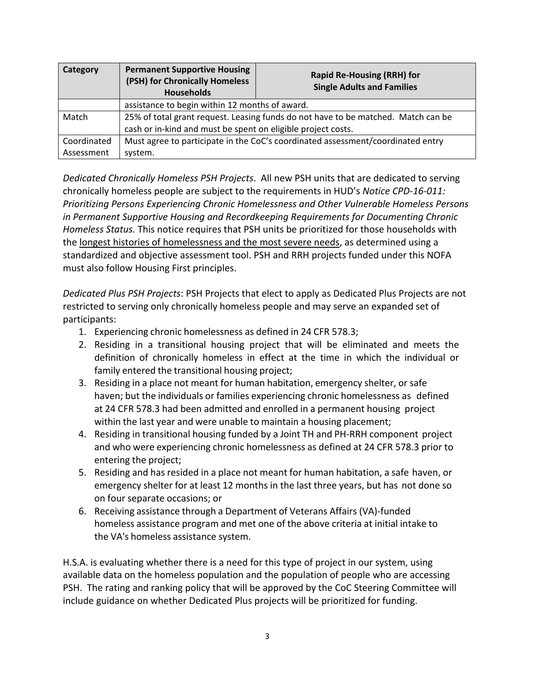| Category    | <b>Permanent Supportive Housing</b><br>(PSH) for Chronically Homeless<br><b>Households</b> | <b>Rapid Re-Housing (RRH) for</b><br><b>Single Adults and Families</b> |
|-------------|--------------------------------------------------------------------------------------------|------------------------------------------------------------------------|
|             | assistance to begin within 12 months of award.                                             |                                                                        |
| Match       | 25% of total grant request. Leasing funds do not have to be matched. Match can be          |                                                                        |
|             | cash or in-kind and must be spent on eligible project costs.                               |                                                                        |
| Coordinated | Must agree to participate in the CoC's coordinated assessment/coordinated entry            |                                                                        |
| Assessment  | system.                                                                                    |                                                                        |

*Dedicated Chronically Homeless PSH Projects*. All new PSH units that are dedicated to serving chronically homeless people are subject to the requirements in HUD's *Notice CPD‐16‐011: Prioritizing Persons Experiencing Chronic Homelessness and Other Vulnerable Homeless Persons in Permanent Supportive Housing and Recordkeeping Requirements for Documenting Chronic Homeless Status.* This notice requires that PSH units be prioritized for those households with the longest histories of homelessness and the most severe needs, as determined using a standardized and objective assessment tool. PSH and RRH projects funded under this NOFA must also follow Housing First principles.

*Dedicated Plus PSH Projects*: PSH Projects that elect to apply as Dedicated Plus Projects are not restricted to serving only chronically homeless people and may serve an expanded set of participants:

- 1. Experiencing chronic homelessness as defined in 24 CFR 578.3;
- 2. Residing in a transitional housing project that will be eliminated and meets the definition of chronically homeless in effect at the time in which the individual or family entered the transitional housing project;
- 3. Residing in a place not meant for human habitation, emergency shelter, or safe haven; but the individuals or families experiencing chronic homelessness as defined at 24 CFR 578.3 had been admitted and enrolled in a permanent housing project within the last year and were unable to maintain a housing placement;
- 4. Residing in transitional housing funded by a Joint TH and PH‐RRH component project and who were experiencing chronic homelessness as defined at 24 CFR 578.3 prior to entering the project;
- 5. Residing and has resided in a place not meant for human habitation, a safe haven, or emergency shelter for at least 12 months in the last three years, but has not done so on four separate occasions; or
- 6. Receiving assistance through a Department of Veterans Affairs (VA)‐funded homeless assistance program and met one of the above criteria at initial intake to the VA's homeless assistance system.

H.S.A. is evaluating whether there is a need for this type of project in our system, using available data on the homeless population and the population of people who are accessing PSH. The rating and ranking policy that will be approved by the CoC Steering Committee will include guidance on whether Dedicated Plus projects will be prioritized for funding.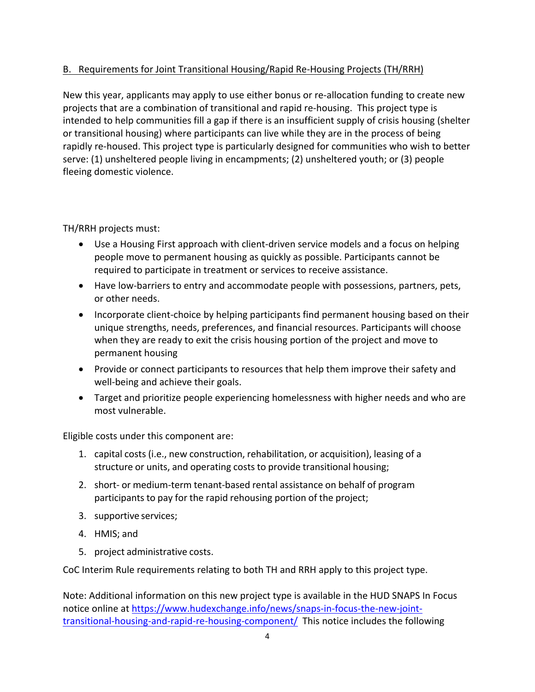# B. Requirements for Joint Transitional Housing/Rapid Re‐Housing Projects (TH/RRH)

New this year, applicants may apply to use either bonus or re-allocation funding to create new projects that are a combination of transitional and rapid re‐housing. This project type is intended to help communities fill a gap if there is an insufficient supply of crisis housing (shelter or transitional housing) where participants can live while they are in the process of being rapidly re-housed. This project type is particularly designed for communities who wish to better serve: (1) unsheltered people living in encampments; (2) unsheltered youth; or (3) people fleeing domestic violence.

TH/RRH projects must:

- Use a Housing First approach with client-driven service models and a focus on helping people move to permanent housing as quickly as possible. Participants cannot be required to participate in treatment or services to receive assistance.
- Have low-barriers to entry and accommodate people with possessions, partners, pets, or other needs.
- Incorporate client-choice by helping participants find permanent housing based on their unique strengths, needs, preferences, and financial resources. Participants will choose when they are ready to exit the crisis housing portion of the project and move to permanent housing
- Provide or connect participants to resources that help them improve their safety and well-being and achieve their goals.
- Target and prioritize people experiencing homelessness with higher needs and who are most vulnerable.

Eligible costs under this component are:

- 1. capital costs (i.e., new construction, rehabilitation, or acquisition), leasing of a structure or units, and operating costs to provide transitional housing;
- 2. short- or medium-term tenant-based rental assistance on behalf of program participants to pay for the rapid rehousing portion of the project;
- 3. supportive services;
- 4. HMIS; and
- 5. project administrative costs.

CoC Interim Rule requirements relating to both TH and RRH apply to this project type.

Note: Additional information on this new project type is available in the HUD SNAPS In Focus notice online at https://www.hudexchange.info/news/snaps‐in‐focus‐the‐new‐joint‐ transitional-housing-and-rapid-re-housing-component/ This notice includes the following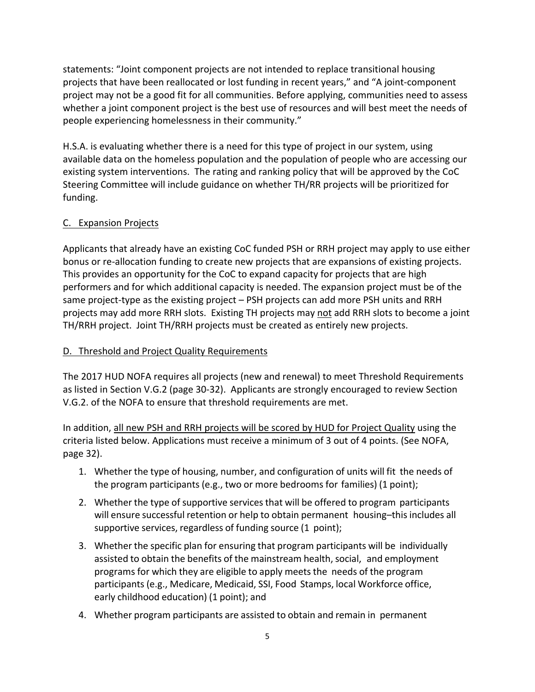statements: "Joint component projects are not intended to replace transitional housing projects that have been reallocated or lost funding in recent years," and "A joint‐component project may not be a good fit for all communities. Before applying, communities need to assess whether a joint component project is the best use of resources and will best meet the needs of people experiencing homelessness in their community."

H.S.A. is evaluating whether there is a need for this type of project in our system, using available data on the homeless population and the population of people who are accessing our existing system interventions. The rating and ranking policy that will be approved by the CoC Steering Committee will include guidance on whether TH/RR projects will be prioritized for funding.

## C. Expansion Projects

Applicants that already have an existing CoC funded PSH or RRH project may apply to use either bonus or re‐allocation funding to create new projects that are expansions of existing projects. This provides an opportunity for the CoC to expand capacity for projects that are high performers and for which additional capacity is needed. The expansion project must be of the same project-type as the existing project – PSH projects can add more PSH units and RRH projects may add more RRH slots. Existing TH projects may not add RRH slots to become a joint TH/RRH project. Joint TH/RRH projects must be created as entirely new projects.

#### D. Threshold and Project Quality Requirements

The 2017 HUD NOFA requires all projects (new and renewal) to meet Threshold Requirements as listed in Section V.G.2 (page 30‐32). Applicants are strongly encouraged to review Section V.G.2. of the NOFA to ensure that threshold requirements are met.

In addition, all new PSH and RRH projects will be scored by HUD for Project Quality using the criteria listed below. Applications must receive a minimum of 3 out of 4 points. (See NOFA, page 32).

- 1. Whether the type of housing, number, and configuration of units will fit the needs of the program participants (e.g., two or more bedrooms for families) (1 point);
- 2. Whether the type of supportive servicesthat will be offered to program participants will ensure successful retention or help to obtain permanent housing-this includes all supportive services, regardless of funding source (1 point);
- 3. Whether the specific plan for ensuring that program participants will be individually assisted to obtain the benefits of the mainstream health, social, and employment programs for which they are eligible to apply meetsthe needs of the program participants (e.g., Medicare, Medicaid, SSI, Food Stamps, local Workforce office, early childhood education) (1 point); and
- 4. Whether program participants are assisted to obtain and remain in permanent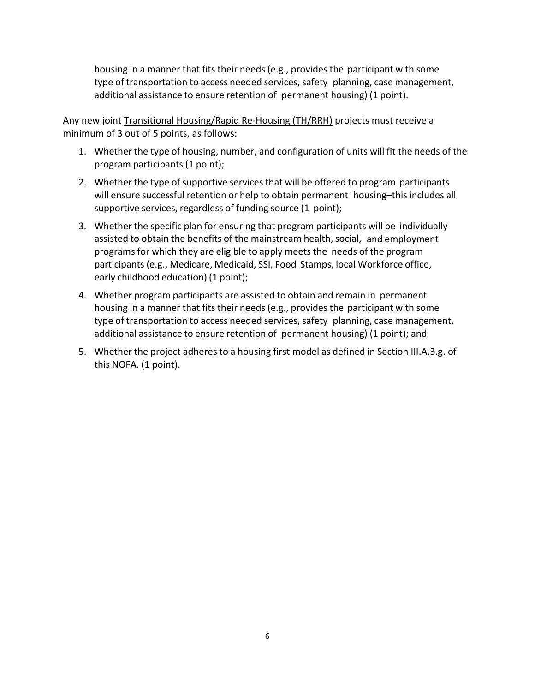housing in a manner that fits their needs (e.g., provides the participant with some type of transportation to access needed services, safety planning, case management, additional assistance to ensure retention of permanent housing) (1 point).

Any new joint Transitional Housing/Rapid Re‐Housing (TH/RRH) projects must receive a minimum of 3 out of 5 points, as follows:

- 1. Whether the type of housing, number, and configuration of units will fit the needs of the program participants (1 point);
- 2. Whether the type of supportive services that will be offered to program participants will ensure successful retention or help to obtain permanent housing–this includes all supportive services, regardless of funding source (1 point);
- 3. Whether the specific plan for ensuring that program participants will be individually assisted to obtain the benefits of the mainstream health, social, and employment programs for which they are eligible to apply meetsthe needs of the program participants (e.g., Medicare, Medicaid, SSI, Food Stamps, local Workforce office, early childhood education) (1 point);
- 4. Whether program participants are assisted to obtain and remain in permanent housing in a manner that fits their needs (e.g., provides the participant with some type of transportation to access needed services, safety planning, case management, additional assistance to ensure retention of permanent housing) (1 point); and
- 5. Whether the project adheres to a housing first model as defined in Section III.A.3.g. of this NOFA. (1 point).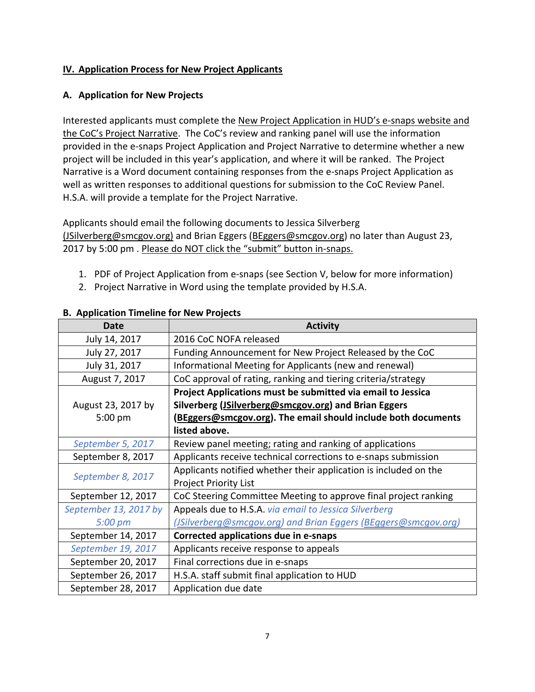# **IV. Application Process for New Project Applicants**

#### **A. Application for New Projects**

Interested applicants must complete the New Project Application in HUD's e‐snaps website and the CoC's Project Narrative. The CoC's review and ranking panel will use the information provided in the e-snaps Project Application and Project Narrative to determine whether a new project will be included in this year's application, and where it will be ranked. The Project Narrative is a Word document containing responses from the e‐snaps Project Application as well as written responses to additional questions for submission to the CoC Review Panel. H.S.A. will provide a template for the Project Narrative.

Applicants should email the following documents to Jessica Silverberg (JSilverberg@smcgov.org) and Brian Eggers (BEggers@smcgov.org) no later than August 23, 2017 by 5:00 pm . Please do NOT click the "submit" button in-snaps.

- 1. PDF of Project Application from e‐snaps (see Section V, below for more information)
- 2. Project Narrative in Word using the template provided by H.S.A.

| <b>Date</b>           | <b>Activity</b>                                                  |
|-----------------------|------------------------------------------------------------------|
| July 14, 2017         | 2016 CoC NOFA released                                           |
| July 27, 2017         | Funding Announcement for New Project Released by the CoC         |
| July 31, 2017         | Informational Meeting for Applicants (new and renewal)           |
| August 7, 2017        | CoC approval of rating, ranking and tiering criteria/strategy    |
|                       | Project Applications must be submitted via email to Jessica      |
| August 23, 2017 by    | Silverberg (JSilverberg@smcgov.org) and Brian Eggers             |
| $5:00$ pm             | (BEggers@smcgov.org). The email should include both documents    |
|                       | listed above.                                                    |
| September 5, 2017     | Review panel meeting; rating and ranking of applications         |
| September 8, 2017     | Applicants receive technical corrections to e-snaps submission   |
| September 8, 2017     | Applicants notified whether their application is included on the |
|                       | <b>Project Priority List</b>                                     |
| September 12, 2017    | CoC Steering Committee Meeting to approve final project ranking  |
| September 13, 2017 by | Appeals due to H.S.A. via email to Jessica Silverberg            |
| 5:00 pm               | (JSilverberg@smcgov.org) and Brian Eggers (BEggers@smcgov.org)   |
| September 14, 2017    | Corrected applications due in e-snaps                            |
| September 19, 2017    | Applicants receive response to appeals                           |
| September 20, 2017    | Final corrections due in e-snaps                                 |
| September 26, 2017    | H.S.A. staff submit final application to HUD                     |
| September 28, 2017    | Application due date                                             |

## **B. Application Timeline for New Projects**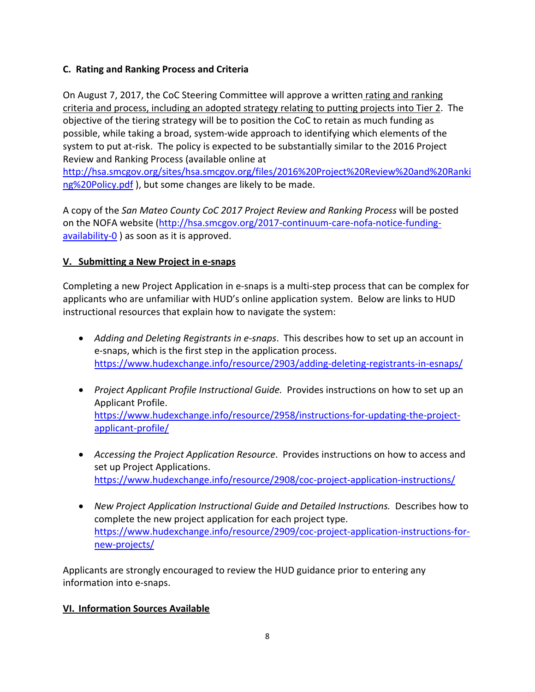# **C. Rating and Ranking Process and Criteria**

On August 7, 2017, the CoC Steering Committee will approve a written rating and ranking criteria and process, including an adopted strategy relating to putting projects into Tier 2. The objective of the tiering strategy will be to position the CoC to retain as much funding as possible, while taking a broad, system‐wide approach to identifying which elements of the system to put at-risk. The policy is expected to be substantially similar to the 2016 Project Review and Ranking Process (available online at

http://hsa.smcgov.org/sites/hsa.smcgov.org/files/2016%20Project%20Review%20and%20Ranki ng%20Policy.pdf), but some changes are likely to be made.

A copy of the *San Mateo County CoC 2017 Project Review and Ranking Process* will be posted on the NOFA website (http://hsa.smcgov.org/2017‐continuum‐care‐nofa‐notice‐funding‐ availability‐0 ) as soon as it is approved.

# **V. Submitting a New Project in e‐snaps**

Completing a new Project Application in e‐snaps is a multi‐step process that can be complex for applicants who are unfamiliar with HUD's online application system. Below are links to HUD instructional resources that explain how to navigate the system:

- *Adding* and *Deleting Registrants in e-snaps*. This describes how to set up an account in e‐snaps, which is the first step in the application process. https://www.hudexchange.info/resource/2903/adding‐deleting‐registrants‐in‐esnaps/
- *Project Applicant Profile Instructional Guide.* Provides instructions on how to set up an Applicant Profile. https://www.hudexchange.info/resource/2958/instructions‐for‐updating‐the‐project‐ applicant‐profile/
- *Accessing the Project Application Resource*. Provides instructions on how to access and set up Project Applications. https://www.hudexchange.info/resource/2908/coc-project-application-instructions/
- *New Project Application Instructional Guide and Detailed Instructions.* Describes how to complete the new project application for each project type. https://www.hudexchange.info/resource/2909/coc-project-application-instructions-fornew‐projects/

Applicants are strongly encouraged to review the HUD guidance prior to entering any information into e‐snaps.

# **VI. Information Sources Available**